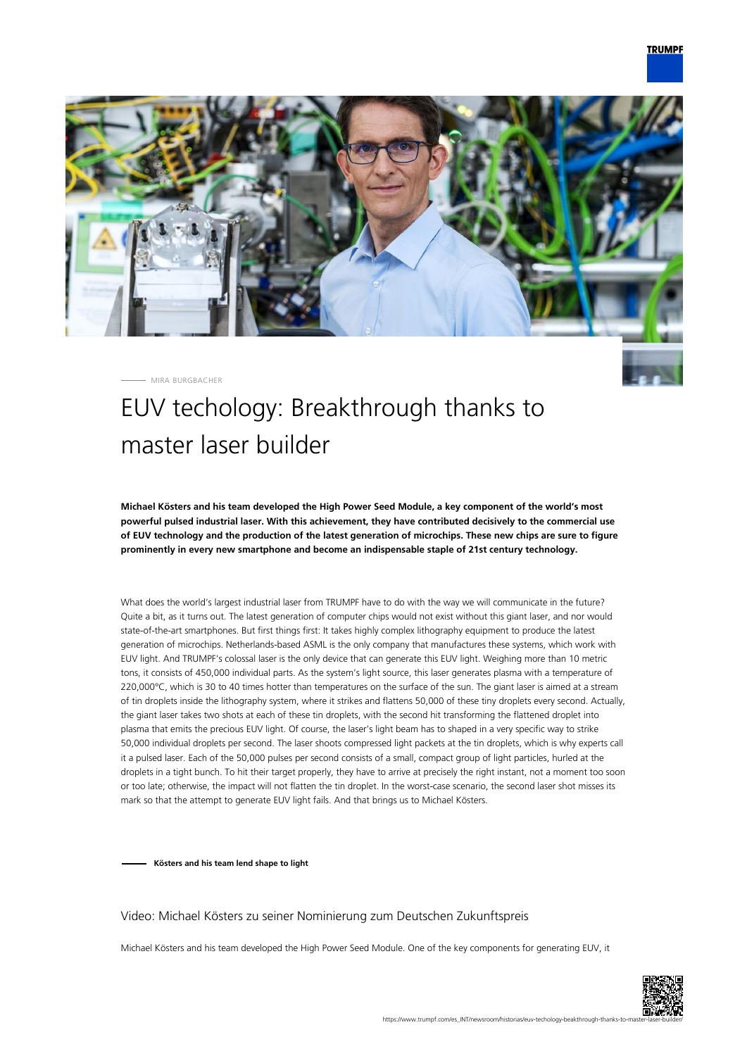

MIRA BURGBACHER

# EUV techology: Breakthrough thanks to master laser builder

**Michael Kösters and his team developed the High Power Seed Module, a key component of the world's most powerful pulsed industrial laser. With this achievement, they have contributed decisively to the commercial use of EUV technology and the production of the latest generation of microchips. These new chips are sure to figure prominently in every new smartphone and become an indispensable staple of 21st century technology.**

What does the world's largest industrial laser from TRUMPF have to do with the way we will communicate in the future? Quite a bit, as it turns out. The latest generation of computer chips would not exist without this giant laser, and nor would state-of-the-art smartphones. But first things first: It takes highly complex lithography equipment to produce the latest generation of microchips. Netherlands-based ASML is the only company that manufactures these systems, which work with EUV light. And TRUMPF's colossal laser is the only device that can generate this EUV light. Weighing more than 10 metric tons, it consists of 450,000 individual parts. As the system's light source, this laser generates plasma with a temperature of 220,000°C, which is 30 to 40 times hotter than temperatures on the surface of the sun. The giant laser is aimed at a stream of tin droplets inside the lithography system, where it strikes and flattens 50,000 of these tiny droplets every second. Actually, the giant laser takes two shots at each of these tin droplets, with the second hit transforming the flattened droplet into plasma that emits the precious EUV light. Of course, the laser's light beam has to shaped in a very specific way to strike 50,000 individual droplets per second. The laser shoots compressed light packets at the tin droplets, which is why experts call it a pulsed laser. Each of the 50,000 pulses per second consists of a small, compact group of light particles, hurled at the droplets in a tight bunch. To hit their target properly, they have to arrive at precisely the right instant, not a moment too soon or too late; otherwise, the impact will not flatten the tin droplet. In the worst-case scenario, the second laser shot misses its mark so that the attempt to generate EUV light fails. And that brings us to Michael Kösters.

**Kösters and his team lend shape to light**

#### Video: Michael Kösters zu seiner Nominierung zum Deutschen Zukunftspreis

Michael Kösters and his team developed the High Power Seed Module. One of the key components for generating EUV, it

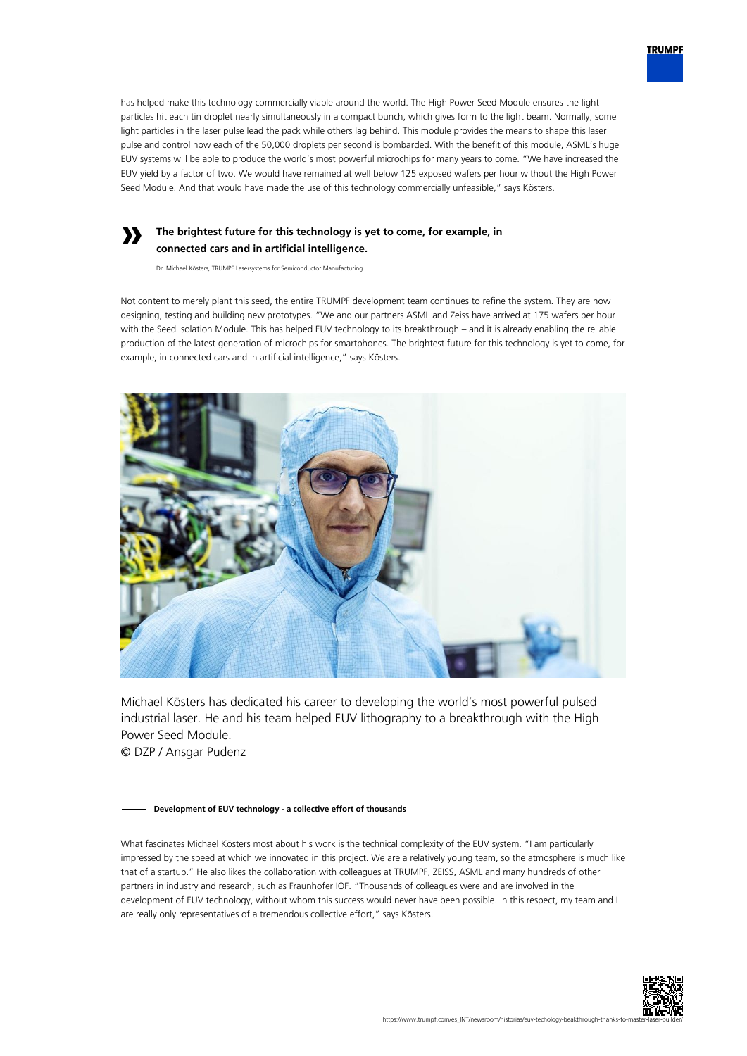

### **The brightest future for this technology is yet to come, for example, in connected cars and in artificial intelligence.**

Dr. Michael Kösters, TRUMPF Lasersystems for Semiconductor Manufacturing

**»**

Not content to merely plant this seed, the entire TRUMPF development team continues to refine the system. They are now designing, testing and building new prototypes. "We and our partners ASML and Zeiss have arrived at 175 wafers per hour with the Seed Isolation Module. This has helped EUV technology to its breakthrough – and it is already enabling the reliable production of the latest generation of microchips for smartphones. The brightest future for this technology is yet to come, for example, in connected cars and in artificial intelligence," says Kösters.



Michael Kösters has dedicated his career to developing the world's most powerful pulsed industrial laser. He and his team helped EUV lithography to a breakthrough with the High Power Seed Module.

© DZP / Ansgar Pudenz

#### **Development of EUV technology - a collective effort of thousands**

What fascinates Michael Kösters most about his work is the technical complexity of the EUV system. "I am particularly impressed by the speed at which we innovated in this project. We are a relatively young team, so the atmosphere is much like that of a startup." He also likes the collaboration with colleagues at TRUMPF, ZEISS, ASML and many hundreds of other partners in industry and research, such as Fraunhofer IOF. "Thousands of colleagues were and are involved in the development of EUV technology, without whom this success would never have been possible. In this respect, my team and I are really only representatives of a tremendous collective effort," says Kösters.



**TRUMPF**